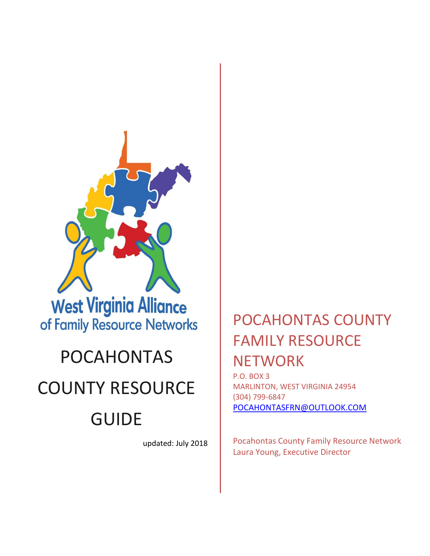

## POCAHONTAS

## COUNTY RESOURCE

# GUIDE

updated: July 2018

## POCAHONTAS COUNTY FAMILY RESOURCE **NETWORK**

P.O. BOX 3 MARLINTON, WEST VIRGINIA 24954 (304) 799-6847 [POCAHONTASFRN@OUTLOOK.COM](mailto:POCAHONTASFRN@OUTLOOK.COM)

Pocahontas County Family Resource Network Laura Young, Executive Director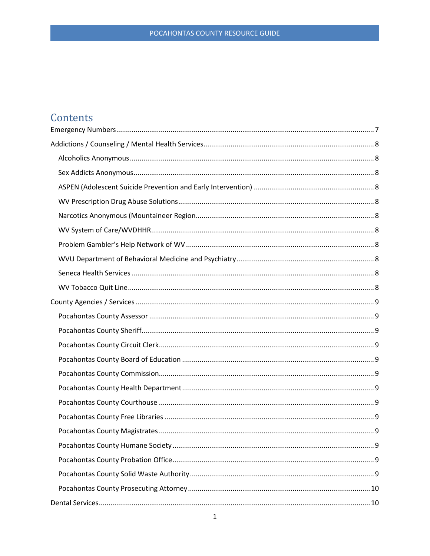### Contents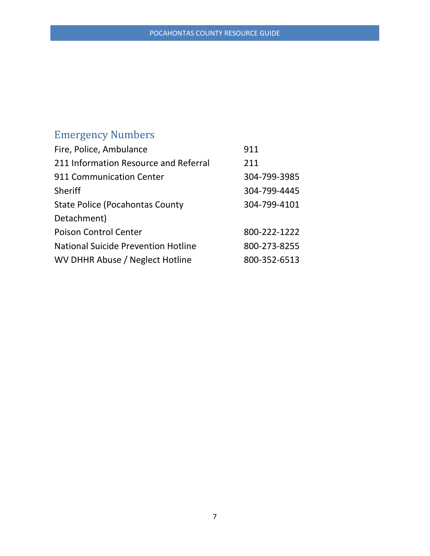## <span id="page-7-0"></span>Emergency Numbers

| Fire, Police, Ambulance                    | 911          |
|--------------------------------------------|--------------|
| 211 Information Resource and Referral      | 211          |
| 911 Communication Center                   | 304-799-3985 |
| Sheriff                                    | 304-799-4445 |
| <b>State Police (Pocahontas County</b>     | 304-799-4101 |
| Detachment)                                |              |
| <b>Poison Control Center</b>               | 800-222-1222 |
| <b>National Suicide Prevention Hotline</b> | 800-273-8255 |
| WV DHHR Abuse / Neglect Hotline            | 800-352-6513 |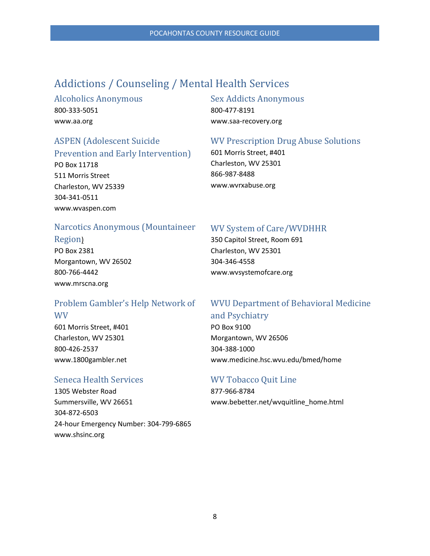### <span id="page-8-0"></span>Addictions / Counseling / Mental Health Services

#### <span id="page-8-1"></span>Alcoholics Anonymous 800-333-5051

www.aa.org

### <span id="page-8-3"></span>ASPEN (Adolescent Suicide

Prevention and Early Intervention) PO Box 11718 511 Morris Street

Charleston, WV 25339 304-341-0511 www.wvaspen.com

#### <span id="page-8-2"></span>Sex Addicts Anonymous

800-477-8191 www.saa-recovery.org

#### <span id="page-8-4"></span>WV Prescription Drug Abuse Solutions

601 Morris Street, #401 Charleston, WV 25301 866-987-8488 www.wvrxabuse.org

#### <span id="page-8-5"></span>Narcotics Anonymous (Mountaineer

#### Region)

PO Box 2381 Morgantown, WV 26502 800-766-4442 www.mrscna.org

#### <span id="page-8-7"></span>Problem Gambler's Help Network of WV

601 Morris Street, #401 Charleston, WV 25301 800-426-2537 www.1800gambler.net

#### <span id="page-8-9"></span>Seneca Health Services

1305 Webster Road Summersville, WV 26651 304-872-6503 24-hour Emergency Number: 304-799-6865 www.shsinc.org

#### <span id="page-8-6"></span>WV System of Care/WVDHHR

350 Capitol Street, Room 691 Charleston, WV 25301 304-346-4558 www.wvsystemofcare.org

### <span id="page-8-8"></span>WVU Department of Behavioral Medicine and Psychiatry

PO Box 9100 Morgantown, WV 26506 304-388-1000 www.medicine.hsc.wvu.edu/bmed/home

#### <span id="page-8-10"></span>WV Tobacco Quit Line

877-966-8784 www.bebetter.net/wvquitline\_home.html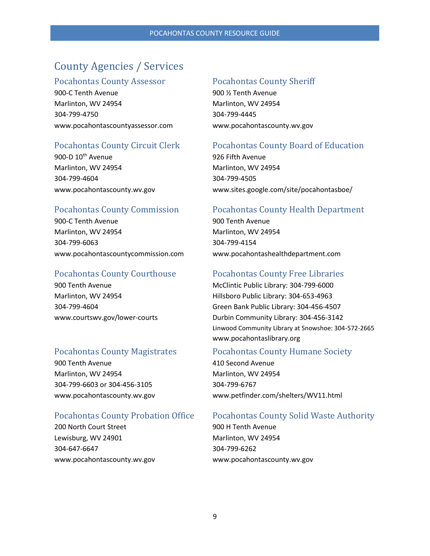### <span id="page-9-0"></span>County Agencies / Services

#### <span id="page-9-1"></span>Pocahontas County Assessor

900-C Tenth Avenue Marlinton, WV 24954 304-799-4750 www.pocahontascountyassessor.com

#### <span id="page-9-3"></span>Pocahontas County Circuit Clerk

900-D 10<sup>th</sup> Avenue Marlinton, WV 24954 304-799-4604 www.pocahontascounty.wv.gov

#### <span id="page-9-5"></span>Pocahontas County Commission

900-C Tenth Avenue Marlinton, WV 24954 304-799-6063 www.pocahontascountycommission.com

#### <span id="page-9-7"></span>Pocahontas County Courthouse

900 Tenth Avenue Marlinton, WV 24954 304-799-4604 www.courtswv.gov/lower-courts

#### <span id="page-9-9"></span>Pocahontas County Magistrates

900 Tenth Avenue Marlinton, WV 24954 304-799-6603 or 304-456-3105 www.pocahontascounty.wv.gov

#### <span id="page-9-11"></span>Pocahontas County Probation Office

200 North Court Street Lewisburg, WV 24901 304-647-6647 www.pocahontascounty.wv.gov

#### <span id="page-9-2"></span>Pocahontas County Sheriff

900 ½ Tenth Avenue Marlinton, WV 24954 304-799-4445 www.pocahontascounty.wv.gov

#### <span id="page-9-4"></span>Pocahontas County Board of Education

926 Fifth Avenue Marlinton, WV 24954 304-799-4505 www.sites.google.com/site/pocahontasboe/

#### <span id="page-9-6"></span>Pocahontas County Health Department

900 Tenth Avenue Marlinton, WV 24954 304-799-4154 www.pocahontashealthdepartment.com

#### <span id="page-9-8"></span>Pocahontas County Free Libraries

McClintic Public Library: 304-799-6000 Hillsboro Public Library: 304-653-4963 Green Bank Public Library: 304-456-4507 Durbin Community Library: 304-456-3142 Linwood Community Library at Snowshoe: 304-572-2665 www.pocahontaslibrary.org

#### <span id="page-9-10"></span>Pocahontas County Humane Society

410 Second Avenue Marlinton, WV 24954 304-799-6767 www.petfinder.com/shelters/WV11.html

#### <span id="page-9-12"></span>Pocahontas County Solid Waste Authority

900 H Tenth Avenue Marlinton, WV 24954 304-799-6262 www.pocahontascounty.wv.gov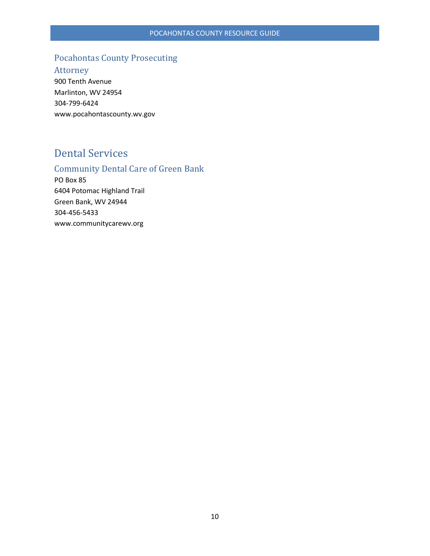#### <span id="page-10-0"></span>Pocahontas County Prosecuting

Attorney

900 Tenth Avenue Marlinton, WV 24954 304-799-6424 www.pocahontascounty.wv.gov

### <span id="page-10-1"></span>Dental Services

### <span id="page-10-2"></span>Community Dental Care of Green Bank

PO Box 85 6404 Potomac Highland Trail Green Bank, WV 24944 304-456-5433 www.communitycarewv.org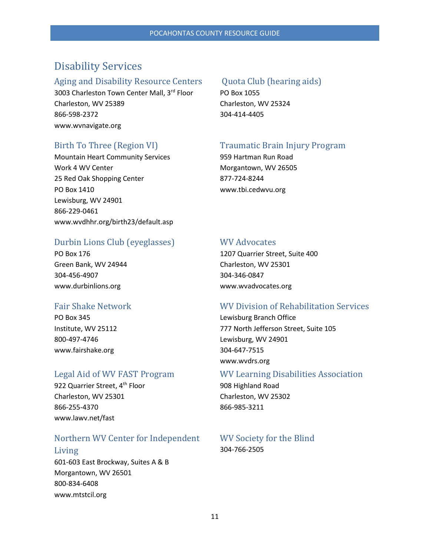### <span id="page-11-0"></span>Disability Services

#### <span id="page-11-1"></span>Aging and Disability Resource Centers

3003 Charleston Town Center Mall, 3rd Floor Charleston, WV 25389 866-598-2372 www.wvnavigate.org

#### <span id="page-11-3"></span>Birth To Three (Region VI)

Mountain Heart Community Services Work 4 WV Center 25 Red Oak Shopping Center PO Box 1410 Lewisburg, WV 24901 866-229-0461 www.wvdhhr.org/birth23/default.asp

#### <span id="page-11-5"></span>Durbin Lions Club (eyeglasses)

PO Box 176 Green Bank, WV 24944 304-456-4907 www.durbinlions.org

#### <span id="page-11-7"></span>Fair Shake Network

PO Box 345 Institute, WV 25112 800-497-4746 www.fairshake.org

#### <span id="page-11-9"></span>Legal Aid of WV FAST Program

922 Quarrier Street, 4<sup>th</sup> Floor Charleston, WV 25301 866-255-4370 www.lawv.net/fast

#### <span id="page-11-11"></span>Northern WV Center for Independent

### Living 601-603 East Brockway, Suites A & B

Morgantown, WV 26501 800-834-6408 www.mtstcil.org

#### <span id="page-11-2"></span>Quota Club (hearing aids)

PO Box 1055 Charleston, WV 25324 304-414-4405

#### <span id="page-11-4"></span>Traumatic Brain Injury Program

959 Hartman Run Road Morgantown, WV 26505 877-724-8244 www.tbi.cedwvu.org

#### <span id="page-11-6"></span>WV Advocates

1207 Quarrier Street, Suite 400 Charleston, WV 25301 304-346-0847 www.wvadvocates.org

#### <span id="page-11-8"></span>WV Division of Rehabilitation Services

Lewisburg Branch Office 777 North Jefferson Street, Suite 105 Lewisburg, WV 24901 304-647-7515 www.wvdrs.org

#### <span id="page-11-10"></span>WV Learning Disabilities Association

908 Highland Road Charleston, WV 25302 866-985-3211

#### <span id="page-11-12"></span>WV Society for the Blind 304-766-2505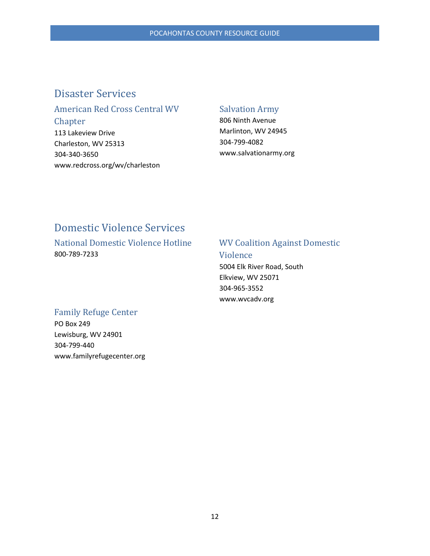### <span id="page-12-0"></span>Disaster Services

### <span id="page-12-1"></span>American Red Cross Central WV Chapter

113 Lakeview Drive Charleston, WV 25313 304-340-3650 www.redcross.org/wv/charleston

#### <span id="page-12-2"></span>Salvation Army

806 Ninth Avenue Marlinton, WV 24945 304-799-4082 www.salvationarmy.org

### <span id="page-12-3"></span>Domestic Violence Services

<span id="page-12-4"></span>National Domestic Violence Hotline 800-789-7233

#### <span id="page-12-5"></span>WV Coalition Against Domestic Violence

5004 Elk River Road, South Elkview, WV 25071 304-965-3552 www.wvcadv.org

#### <span id="page-12-6"></span>Family Refuge Center

PO Box 249 Lewisburg, WV 24901 304-799-440 www.familyrefugecenter.org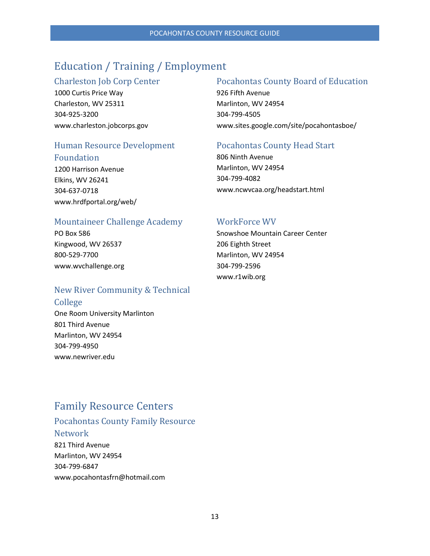### <span id="page-13-0"></span>Education / Training / Employment

#### <span id="page-13-1"></span>Charleston Job Corp Center

1000 Curtis Price Way Charleston, WV 25311 304-925-3200 www.charleston.jobcorps.gov

#### <span id="page-13-3"></span>Human Resource Development Foundation

1200 Harrison Avenue Elkins, WV 26241 304-637-0718 www.hrdfportal.org/web/

#### <span id="page-13-5"></span>Mountaineer Challenge Academy

PO Box 586 Kingwood, WV 26537 800-529-7700 www.wvchallenge.org

#### <span id="page-13-7"></span>New River Community & Technical

#### College

One Room University Marlinton 801 Third Avenue Marlinton, WV 24954 304-799-4950 www.newriver.edu

### <span id="page-13-8"></span>Family Resource Centers

#### <span id="page-13-9"></span>Pocahontas County Family Resource Network 821 Third Avenue

Marlinton, WV 24954 304-799-6847 www.pocahontasfrn@hotmail.com

#### <span id="page-13-2"></span>Pocahontas County Board of Education

926 Fifth Avenue Marlinton, WV 24954 304-799-4505 www.sites.google.com/site/pocahontasboe/

#### <span id="page-13-4"></span>Pocahontas County Head Start

806 Ninth Avenue Marlinton, WV 24954 304-799-4082 www.ncwvcaa.org/headstart.html

#### <span id="page-13-6"></span>WorkForce WV

Snowshoe Mountain Career Center 206 Eighth Street Marlinton, WV 24954 304-799-2596 www.r1wib.org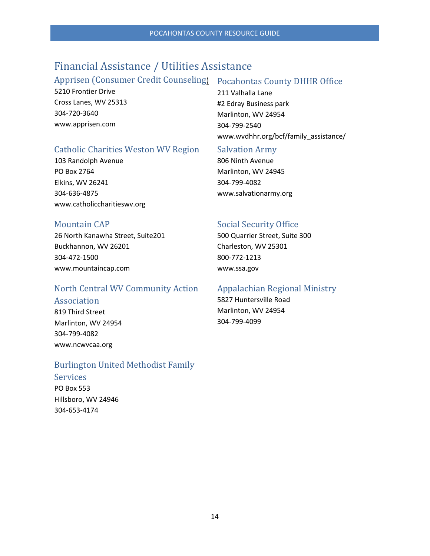### <span id="page-14-0"></span>Financial Assistance / Utilities Assistance

#### <span id="page-14-1"></span>Apprisen (Consumer Credit Counseling) Pocahontas County DHHR Office

5210 Frontier Drive Cross Lanes, WV 25313 304-720-3640 www.apprisen.com

<span id="page-14-2"></span>211 Valhalla Lane #2 Edray Business park Marlinton, WV 24954 304-799-2540 www.wvdhhr.org/bcf/family\_assistance/

#### <span id="page-14-3"></span>Catholic Charities Weston WV Region

103 Randolph Avenue PO Box 2764 Elkins, WV 26241 304-636-4875 www.catholiccharitieswv.org

#### <span id="page-14-5"></span>Mountain CAP

26 North Kanawha Street, Suite201 Buckhannon, WV 26201 304-472-1500 www.mountaincap.com

#### <span id="page-14-7"></span>North Central WV Community Action Association

819 Third Street

Marlinton, WV 24954 304-799-4082 www.ncwvcaa.org

### <span id="page-14-9"></span>Burlington United Methodist Family

#### Services

PO Box 553 Hillsboro, WV 24946 304-653-4174

#### <span id="page-14-4"></span>Salvation Army

806 Ninth Avenue Marlinton, WV 24945 304-799-4082 www.salvationarmy.org

#### <span id="page-14-6"></span>Social Security Office

500 Quarrier Street, Suite 300 Charleston, WV 25301 800-772-1213 www.ssa.gov

#### <span id="page-14-8"></span>Appalachian Regional Ministry

5827 Huntersville Road Marlinton, WV 24954 304-799-4099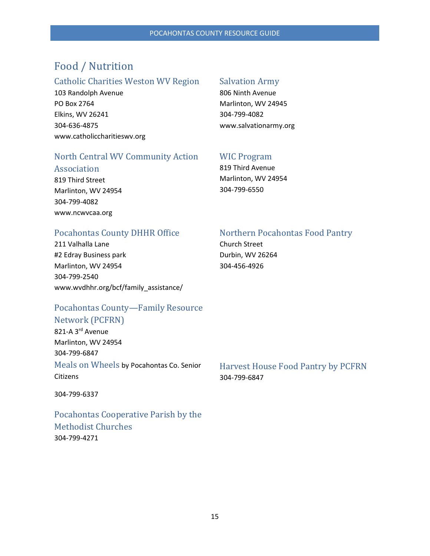### <span id="page-15-0"></span>Food / Nutrition

#### <span id="page-15-1"></span>Catholic Charities Weston WV Region

103 Randolph Avenue PO Box 2764 Elkins, WV 26241 304-636-4875 www.catholiccharitieswv.org

#### <span id="page-15-2"></span>Salvation Army

806 Ninth Avenue Marlinton, WV 24945 304-799-4082 www.salvationarmy.org

### <span id="page-15-3"></span>North Central WV Community Action

#### Association

819 Third Street Marlinton, WV 24954 304-799-4082 www.ncwvcaa.org

#### <span id="page-15-4"></span>WIC Program

819 Third Avenue Marlinton, WV 24954 304-799-6550

#### <span id="page-15-5"></span>Pocahontas County DHHR Office

211 Valhalla Lane #2 Edray Business park Marlinton, WV 24954 304-799-2540 www.wvdhhr.org/bcf/family\_assistance/

#### <span id="page-15-6"></span>Northern Pocahontas Food Pantry

Church Street Durbin, WV 26264 304-456-4926

#### <span id="page-15-7"></span>Pocahontas County—Family Resource Network (PCFRN)

821-A 3<sup>rd</sup> Avenue Marlinton, WV 24954 304-799-6847

<span id="page-15-8"></span>Meals on Wheels by Pocahontas Co. Senior **Citizens** 

304-799-6337

<span id="page-15-10"></span>Pocahontas Cooperative Parish by the Methodist Churches 304-799-4271

<span id="page-15-9"></span>Harvest House Food Pantry by PCFRN 304-799-6847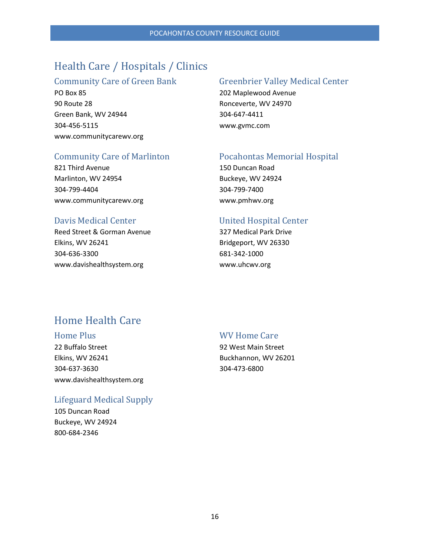### <span id="page-16-0"></span>Health Care / Hospitals / Clinics

#### <span id="page-16-1"></span>Community Care of Green Bank

PO Box 85 90 Route 28 Green Bank, WV 24944 304-456-5115 www.communitycarewv.org

#### <span id="page-16-3"></span>Community Care of Marlinton

821 Third Avenue Marlinton, WV 24954 304-799-4404 www.communitycarewv.org

#### <span id="page-16-5"></span>Davis Medical Center

Reed Street & Gorman Avenue Elkins, WV 26241 304-636-3300 www.davishealthsystem.org

#### <span id="page-16-2"></span>Greenbrier Valley Medical Center

202 Maplewood Avenue Ronceverte, WV 24970 304-647-4411 www.gvmc.com

#### <span id="page-16-4"></span>Pocahontas Memorial Hospital

150 Duncan Road Buckeye, WV 24924 304-799-7400 www.pmhwv.org

#### <span id="page-16-6"></span>United Hospital Center

327 Medical Park Drive Bridgeport, WV 26330 681-342-1000 www.uhcwv.org

### <span id="page-16-7"></span>Home Health Care

#### <span id="page-16-8"></span>Home Plus

22 Buffalo Street Elkins, WV 26241 304-637-3630 www.davishealthsystem.org

#### <span id="page-16-10"></span>Lifeguard Medical Supply

105 Duncan Road Buckeye, WV 24924 800-684-2346

#### <span id="page-16-9"></span>WV Home Care

92 West Main Street Buckhannon, WV 26201 304-473-6800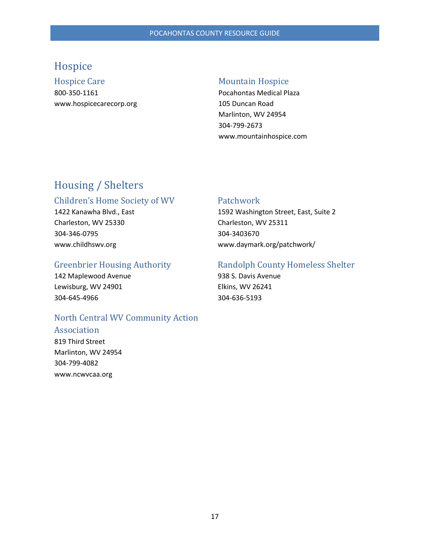### <span id="page-17-0"></span>Hospice

<span id="page-17-1"></span>Hospice Care 800-350-1161 www.hospicecarecorp.org

#### <span id="page-17-2"></span>Mountain Hospice

Pocahontas Medical Plaza 105 Duncan Road Marlinton, WV 24954 304-799-2673 www.mountainhospice.com

### <span id="page-17-3"></span>Housing / Shelters

#### <span id="page-17-4"></span>Children's Home Society of WV

1422 Kanawha Blvd., East Charleston, WV 25330 304-346-0795 www.childhswv.org

#### <span id="page-17-6"></span>Greenbrier Housing Authority

142 Maplewood Avenue Lewisburg, WV 24901 304-645-4966

#### <span id="page-17-8"></span>North Central WV Community Action

#### Association

819 Third Street Marlinton, WV 24954 304-799-4082 www.ncwvcaa.org

#### <span id="page-17-5"></span>Patchwork

1592 Washington Street, East, Suite 2 Charleston, WV 25311 304-3403670 www.daymark.org/patchwork/

#### <span id="page-17-7"></span>Randolph County Homeless Shelter

938 S. Davis Avenue Elkins, WV 26241 304-636-5193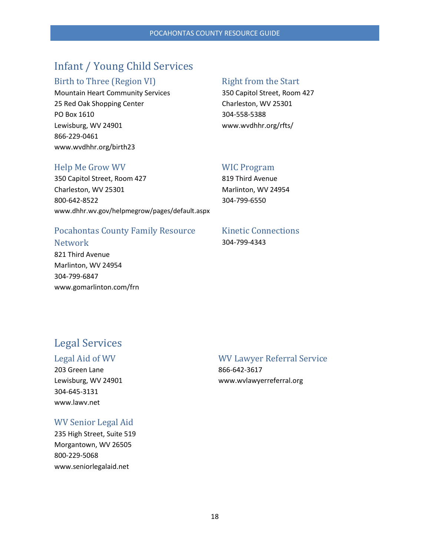### <span id="page-18-0"></span>Infant / Young Child Services

#### <span id="page-18-1"></span>Birth to Three (Region VI)

Mountain Heart Community Services 25 Red Oak Shopping Center PO Box 1610 Lewisburg, WV 24901 866-229-0461 www.wvdhhr.org/birth23

#### <span id="page-18-2"></span>Right from the Start

350 Capitol Street, Room 427 Charleston, WV 25301 304-558-5388 www.wvdhhr.org/rfts/

#### <span id="page-18-3"></span>Help Me Grow WV

350 Capitol Street, Room 427 Charleston, WV 25301 800-642-8522 www.dhhr.wv.gov/helpmegrow/pages/default.aspx

#### <span id="page-18-4"></span>WIC Program

819 Third Avenue Marlinton, WV 24954 304-799-6550

#### <span id="page-18-5"></span>Pocahontas County Family Resource Network

821 Third Avenue Marlinton, WV 24954 304-799-6847 www.gomarlinton.com/frn

#### <span id="page-18-6"></span>Kinetic Connections 304-799-4343

### <span id="page-18-7"></span>Legal Services

#### <span id="page-18-8"></span>Legal Aid of WV

203 Green Lane Lewisburg, WV 24901 304-645-3131 www.lawv.net

#### <span id="page-18-10"></span>WV Senior Legal Aid

235 High Street, Suite 519 Morgantown, WV 26505 800-229-5068 www.seniorlegalaid.net

#### <span id="page-18-9"></span>WV Lawyer Referral Service 866-642-3617 www.wvlawyerreferral.org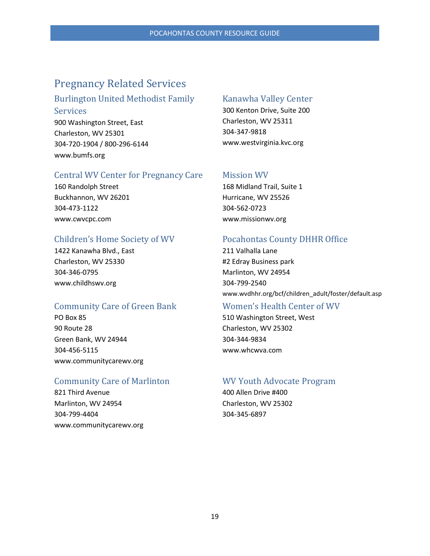### <span id="page-19-0"></span>Pregnancy Related Services

#### <span id="page-19-1"></span>Burlington United Methodist Family

Services 900 Washington Street, East Charleston, WV 25301 304-720-1904 / 800-296-6144 www.bumfs.org

#### <span id="page-19-3"></span>Central WV Center for Pregnancy Care

160 Randolph Street Buckhannon, WV 26201 304-473-1122 www.cwvcpc.com

#### <span id="page-19-5"></span>Children's Home Society of WV

1422 Kanawha Blvd., East Charleston, WV 25330 304-346-0795 www.childhswv.org

#### <span id="page-19-7"></span>Community Care of Green Bank

PO Box 85 90 Route 28 Green Bank, WV 24944 304-456-5115 www.communitycarewv.org

#### <span id="page-19-9"></span>Community Care of Marlinton

821 Third Avenue Marlinton, WV 24954 304-799-4404 www.communitycarewv.org

#### <span id="page-19-2"></span>Kanawha Valley Center

300 Kenton Drive, Suite 200 Charleston, WV 25311 304-347-9818 www.westvirginia.kvc.org

#### <span id="page-19-4"></span>Mission WV

168 Midland Trail, Suite 1 Hurricane, WV 25526 304-562-0723 www.missionwv.org

#### <span id="page-19-6"></span>Pocahontas County DHHR Office

211 Valhalla Lane #2 Edray Business park Marlinton, WV 24954 304-799-2540 www.wvdhhr.org/bcf/children\_adult/foster/default.asp

#### <span id="page-19-8"></span>Women's Health Center of WV

510 Washington Street, West Charleston, WV 25302 304-344-9834 www.whcwva.com

#### <span id="page-19-10"></span>WV Youth Advocate Program

400 Allen Drive #400 Charleston, WV 25302 304-345-6897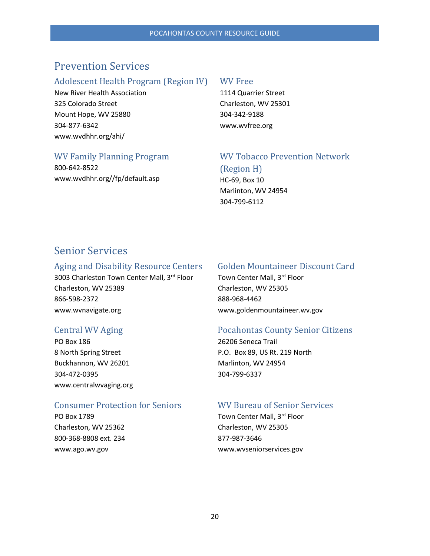### <span id="page-20-0"></span>Prevention Services

#### <span id="page-20-1"></span>Adolescent Health Program (Region IV)

New River Health Association 325 Colorado Street Mount Hope, WV 25880 304-877-6342 www.wvdhhr.org/ahi/

#### <span id="page-20-2"></span>WV Free

1114 Quarrier Street Charleston, WV 25301 304-342-9188 www.wvfree.org

#### <span id="page-20-3"></span>WV Family Planning Program

800-642-8522 www.wvdhhr.org//fp/default.asp

#### <span id="page-20-4"></span>WV Tobacco Prevention Network (Region H)

HC-69, Box 10 Marlinton, WV 24954 304-799-6112

### <span id="page-20-5"></span>Senior Services

#### <span id="page-20-6"></span>Aging and Disability Resource Centers

3003 Charleston Town Center Mall, 3rd Floor Charleston, WV 25389 866-598-2372 www.wvnavigate.org

#### <span id="page-20-8"></span>Central WV Aging

PO Box 186 8 North Spring Street Buckhannon, WV 26201 304-472-0395 www.centralwvaging.org

#### <span id="page-20-10"></span>Consumer Protection for Seniors

PO Box 1789 Charleston, WV 25362 800-368-8808 ext. 234 www.ago.wv.gov

#### <span id="page-20-7"></span>Golden Mountaineer Discount Card

Town Center Mall, 3<sup>rd</sup> Floor Charleston, WV 25305 888-968-4462 www.goldenmountaineer.wv.gov

#### <span id="page-20-9"></span>Pocahontas County Senior Citizens

26206 Seneca Trail P.O. Box 89, US Rt. 219 North Marlinton, WV 24954 304-799-6337

#### <span id="page-20-11"></span>WV Bureau of Senior Services

Town Center Mall, 3<sup>rd</sup> Floor Charleston, WV 25305 877-987-3646 www.wvseniorservices.gov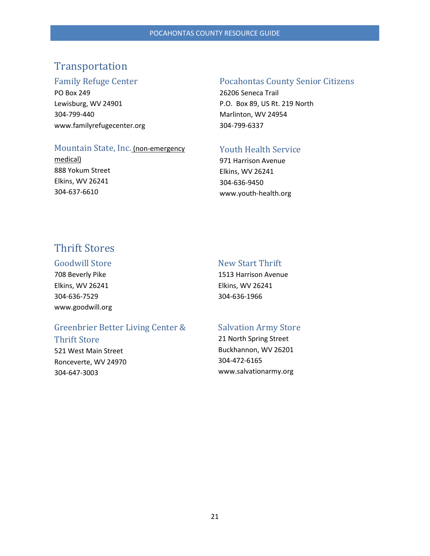### <span id="page-21-0"></span>Transportation

#### <span id="page-21-1"></span>Family Refuge Center

PO Box 249 Lewisburg, WV 24901 304-799-440 www.familyrefugecenter.org

#### <span id="page-21-3"></span>Mountain State, Inc. (non-emergency

medical) 888 Yokum Street Elkins, WV 26241 304-637-6610

#### <span id="page-21-2"></span>Pocahontas County Senior Citizens

26206 Seneca Trail P.O. Box 89, US Rt. 219 North Marlinton, WV 24954 304-799-6337

#### <span id="page-21-4"></span>Youth Health Service

971 Harrison Avenue Elkins, WV 26241 304-636-9450 www.youth-health.org

### <span id="page-21-5"></span>Thrift Stores

#### <span id="page-21-6"></span>Goodwill Store

708 Beverly Pike Elkins, WV 26241 304-636-7529 www.goodwill.org

#### <span id="page-21-7"></span>New Start Thrift

1513 Harrison Avenue Elkins, WV 26241 304-636-1966

#### <span id="page-21-8"></span>Greenbrier Better Living Center &

#### Thrift Store

521 West Main Street Ronceverte, WV 24970 304-647-3003

#### <span id="page-21-9"></span>Salvation Army Store

21 North Spring Street Buckhannon, WV 26201 304-472-6165 www.salvationarmy.org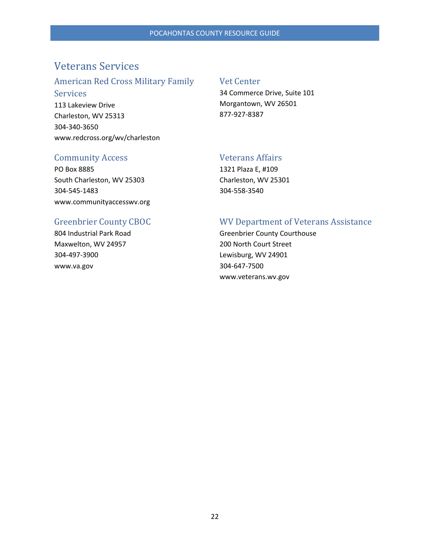### <span id="page-22-0"></span>Veterans Services

#### <span id="page-22-1"></span>American Red Cross Military Family

#### Services

113 Lakeview Drive Charleston, WV 25313 304-340-3650 www.redcross.org/wv/charleston

#### <span id="page-22-2"></span>Vet Center

34 Commerce Drive, Suite 101 Morgantown, WV 26501 877-927-8387

#### <span id="page-22-3"></span>Community Access

PO Box 8885 South Charleston, WV 25303 304-545-1483 www.communityaccesswv.org

### <span id="page-22-4"></span>Veterans Affairs

1321 Plaza E, #109 Charleston, WV 25301 304-558-3540

#### <span id="page-22-5"></span>Greenbrier County CBOC

804 Industrial Park Road Maxwelton, WV 24957 304-497-3900 www.va.gov

#### <span id="page-22-6"></span>WV Department of Veterans Assistance

Greenbrier County Courthouse 200 North Court Street Lewisburg, WV 24901 304-647-7500 www.veterans.wv.gov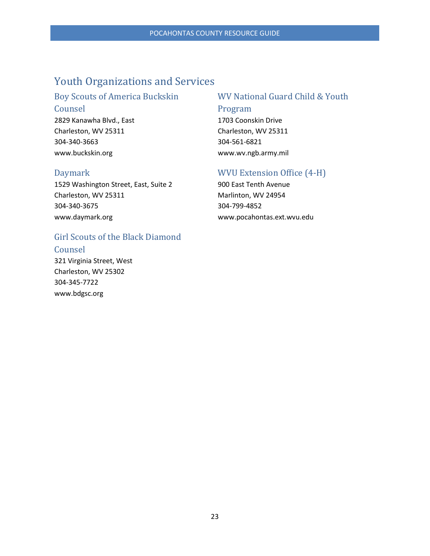### <span id="page-23-0"></span>Youth Organizations and Services

### <span id="page-23-1"></span>Boy Scouts of America Buckskin

Counsel 2829 Kanawha Blvd., East Charleston, WV 25311 304-340-3663 www.buckskin.org

#### <span id="page-23-3"></span>Daymark

1529 Washington Street, East, Suite 2 Charleston, WV 25311 304-340-3675 www.daymark.org

### <span id="page-23-5"></span>Girl Scouts of the Black Diamond

Counsel

321 Virginia Street, West Charleston, WV 25302 304-345-7722 www.bdgsc.org

#### <span id="page-23-2"></span>WV National Guard Child & Youth

#### Program

1703 Coonskin Drive Charleston, WV 25311 304-561-6821 www.wv.ngb.army.mil

### <span id="page-23-4"></span>WVU Extension Office (4-H)

900 East Tenth Avenue Marlinton, WV 24954 304-799-4852 www.pocahontas.ext.wvu.edu